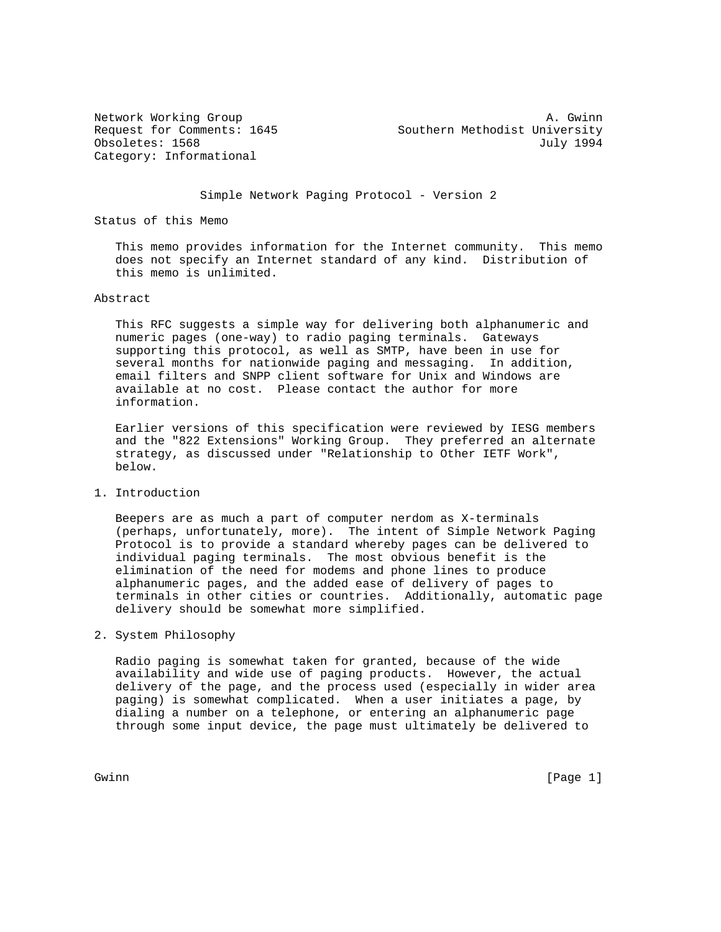Category: Informational

Network Working Group and the set of the set of the set of the set of the set of the set of the set of the set of the set of the set of the set of the set of the set of the set of the set of the set of the set of the set o Request for Comments: 1645 Southern Methodist University Obsoletes: 1568 July 1994

Simple Network Paging Protocol - Version 2

Status of this Memo

 This memo provides information for the Internet community. This memo does not specify an Internet standard of any kind. Distribution of this memo is unlimited.

## Abstract

 This RFC suggests a simple way for delivering both alphanumeric and numeric pages (one-way) to radio paging terminals. Gateways supporting this protocol, as well as SMTP, have been in use for several months for nationwide paging and messaging. In addition, email filters and SNPP client software for Unix and Windows are available at no cost. Please contact the author for more information.

 Earlier versions of this specification were reviewed by IESG members and the "822 Extensions" Working Group. They preferred an alternate strategy, as discussed under "Relationship to Other IETF Work", below.

1. Introduction

 Beepers are as much a part of computer nerdom as X-terminals (perhaps, unfortunately, more). The intent of Simple Network Paging Protocol is to provide a standard whereby pages can be delivered to individual paging terminals. The most obvious benefit is the elimination of the need for modems and phone lines to produce alphanumeric pages, and the added ease of delivery of pages to terminals in other cities or countries. Additionally, automatic page delivery should be somewhat more simplified.

2. System Philosophy

 Radio paging is somewhat taken for granted, because of the wide availability and wide use of paging products. However, the actual delivery of the page, and the process used (especially in wider area paging) is somewhat complicated. When a user initiates a page, by dialing a number on a telephone, or entering an alphanumeric page through some input device, the page must ultimately be delivered to

Gwinn [Page 1]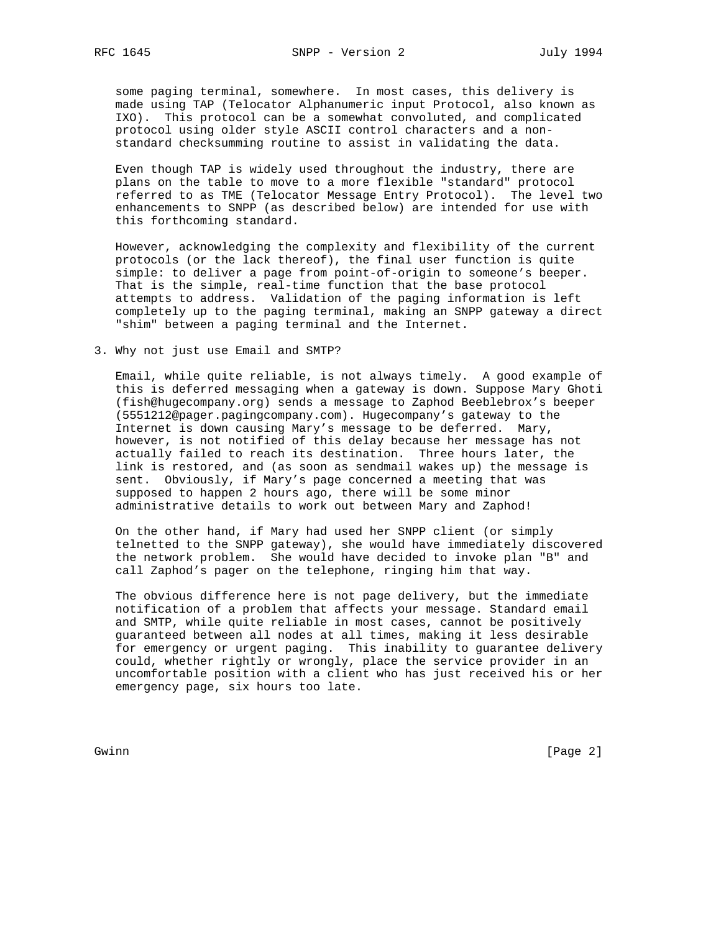some paging terminal, somewhere. In most cases, this delivery is made using TAP (Telocator Alphanumeric input Protocol, also known as IXO). This protocol can be a somewhat convoluted, and complicated protocol using older style ASCII control characters and a non standard checksumming routine to assist in validating the data.

 Even though TAP is widely used throughout the industry, there are plans on the table to move to a more flexible "standard" protocol referred to as TME (Telocator Message Entry Protocol). The level two enhancements to SNPP (as described below) are intended for use with this forthcoming standard.

 However, acknowledging the complexity and flexibility of the current protocols (or the lack thereof), the final user function is quite simple: to deliver a page from point-of-origin to someone's beeper. That is the simple, real-time function that the base protocol attempts to address. Validation of the paging information is left completely up to the paging terminal, making an SNPP gateway a direct "shim" between a paging terminal and the Internet.

3. Why not just use Email and SMTP?

 Email, while quite reliable, is not always timely. A good example of this is deferred messaging when a gateway is down. Suppose Mary Ghoti (fish@hugecompany.org) sends a message to Zaphod Beeblebrox's beeper (5551212@pager.pagingcompany.com). Hugecompany's gateway to the Internet is down causing Mary's message to be deferred. Mary, however, is not notified of this delay because her message has not actually failed to reach its destination. Three hours later, the link is restored, and (as soon as sendmail wakes up) the message is sent. Obviously, if Mary's page concerned a meeting that was supposed to happen 2 hours ago, there will be some minor administrative details to work out between Mary and Zaphod!

 On the other hand, if Mary had used her SNPP client (or simply telnetted to the SNPP gateway), she would have immediately discovered the network problem. She would have decided to invoke plan "B" and call Zaphod's pager on the telephone, ringing him that way.

 The obvious difference here is not page delivery, but the immediate notification of a problem that affects your message. Standard email and SMTP, while quite reliable in most cases, cannot be positively guaranteed between all nodes at all times, making it less desirable for emergency or urgent paging. This inability to guarantee delivery could, whether rightly or wrongly, place the service provider in an uncomfortable position with a client who has just received his or her emergency page, six hours too late.

Gwinn [Page 2]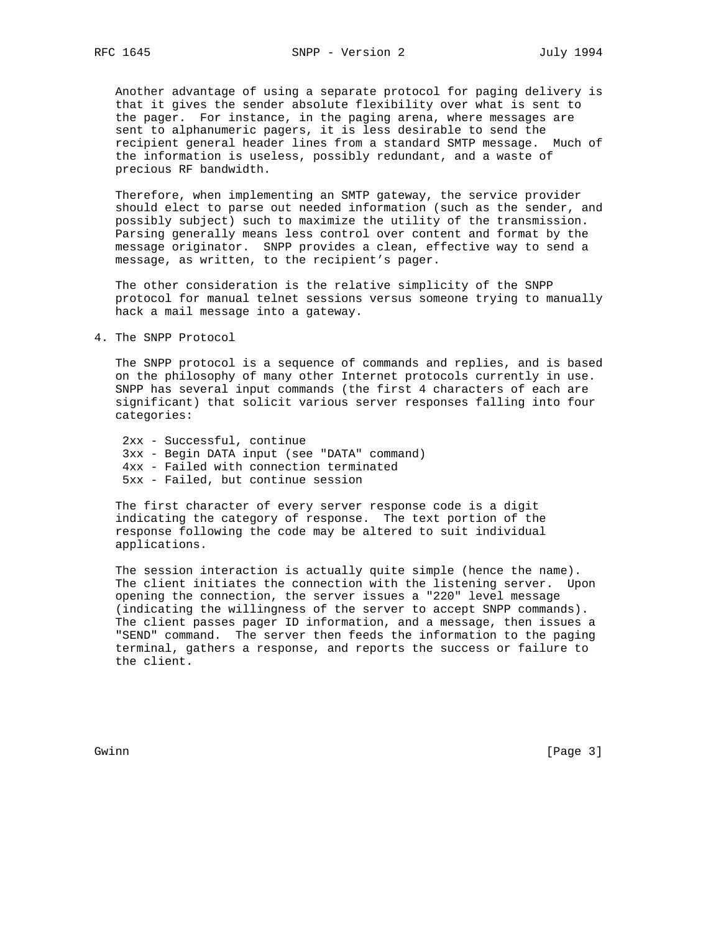Another advantage of using a separate protocol for paging delivery is that it gives the sender absolute flexibility over what is sent to the pager. For instance, in the paging arena, where messages are sent to alphanumeric pagers, it is less desirable to send the recipient general header lines from a standard SMTP message. Much of the information is useless, possibly redundant, and a waste of precious RF bandwidth.

 Therefore, when implementing an SMTP gateway, the service provider should elect to parse out needed information (such as the sender, and possibly subject) such to maximize the utility of the transmission. Parsing generally means less control over content and format by the message originator. SNPP provides a clean, effective way to send a message, as written, to the recipient's pager.

 The other consideration is the relative simplicity of the SNPP protocol for manual telnet sessions versus someone trying to manually hack a mail message into a gateway.

4. The SNPP Protocol

 The SNPP protocol is a sequence of commands and replies, and is based on the philosophy of many other Internet protocols currently in use. SNPP has several input commands (the first 4 characters of each are significant) that solicit various server responses falling into four categories:

 2xx - Successful, continue 3xx - Begin DATA input (see "DATA" command) 4xx - Failed with connection terminated 5xx - Failed, but continue session

 The first character of every server response code is a digit indicating the category of response. The text portion of the response following the code may be altered to suit individual applications.

 The session interaction is actually quite simple (hence the name). The client initiates the connection with the listening server. Upon opening the connection, the server issues a "220" level message (indicating the willingness of the server to accept SNPP commands). The client passes pager ID information, and a message, then issues a "SEND" command. The server then feeds the information to the paging terminal, gathers a response, and reports the success or failure to the client.

Gwinn [Page 3]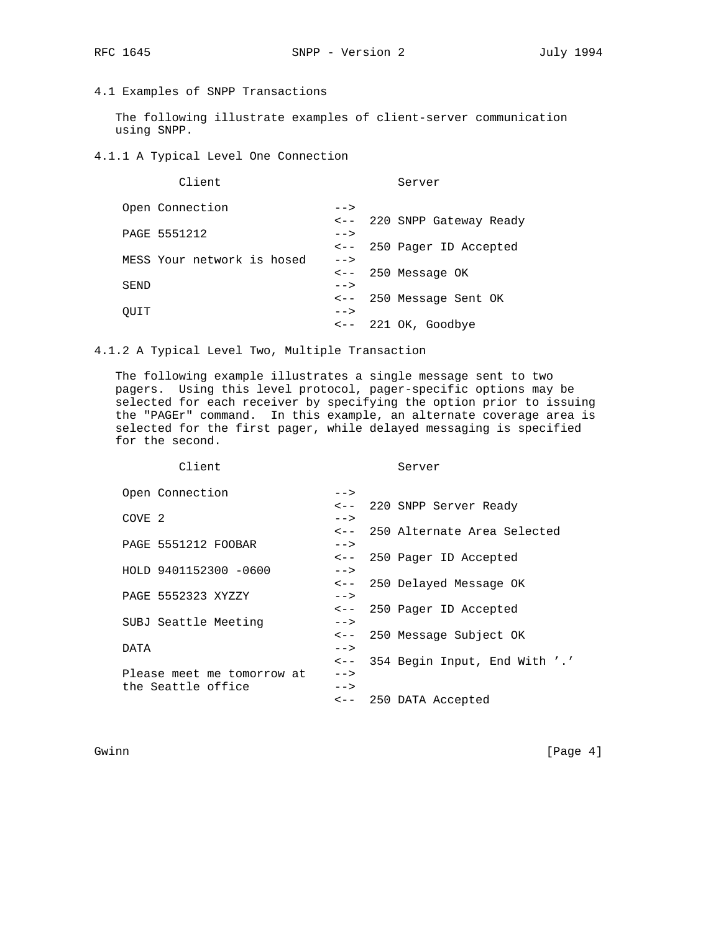RFC 1645 SNPP - Version 2 July 1994

# 4.1 Examples of SNPP Transactions

 The following illustrate examples of client-server communication using SNPP.

4.1.1 A Typical Level One Connection

| Client                     |      | Server                      |
|----------------------------|------|-----------------------------|
| Open Connection            | $--$ |                             |
|                            |      | <-- 220 SNPP Gateway Ready  |
| PAGE 5551212               | $--$ |                             |
|                            |      | <-- 250 Pager ID Accepted   |
| MESS Your network is hosed | $--$ |                             |
|                            |      | $\leftarrow$ 250 Message OK |
| SEND                       | $--$ |                             |
|                            |      | <-- 250 Message Sent OK     |
| OUIT                       | $--$ |                             |
|                            |      | <-- 221 OK, Goodbye         |
|                            |      |                             |

4.1.2 A Typical Level Two, Multiple Transaction

 The following example illustrates a single message sent to two pagers. Using this level protocol, pager-specific options may be selected for each receiver by specifying the option prior to issuing the "PAGEr" command. In this example, an alternate coverage area is selected for the first pager, while delayed messaging is specified for the second.

| Client                     | Server                                    |
|----------------------------|-------------------------------------------|
| Open Connection            | $--$                                      |
|                            | <-- 220 SNPP Server Ready                 |
| COVE <sub>2</sub>          | $--$                                      |
|                            | <-- 250 Alternate Area Selected           |
| PAGE 5551212 FOOBAR        | $--$                                      |
|                            | 250 Pager ID Accepted<br>$\leftarrow$ $-$ |
| HOLD 9401152300 -0600      | $--$                                      |
|                            | <-- 250 Delayed Message OK                |
| PAGE 5552323 XYZZY         | $--$                                      |
|                            | <-- 250 Pager ID Accepted                 |
| SUBJ Seattle Meeting       | $--$                                      |
|                            | <-- 250 Message Subject OK                |
| DATA                       | $--$                                      |
|                            | <-- 354 Begin Input, End With '.'         |
| Please meet me tomorrow at | $--$                                      |
| the Seattle office         | $--$                                      |
|                            | <-- 250 DATA Accepted                     |

Gwinn [Page 4]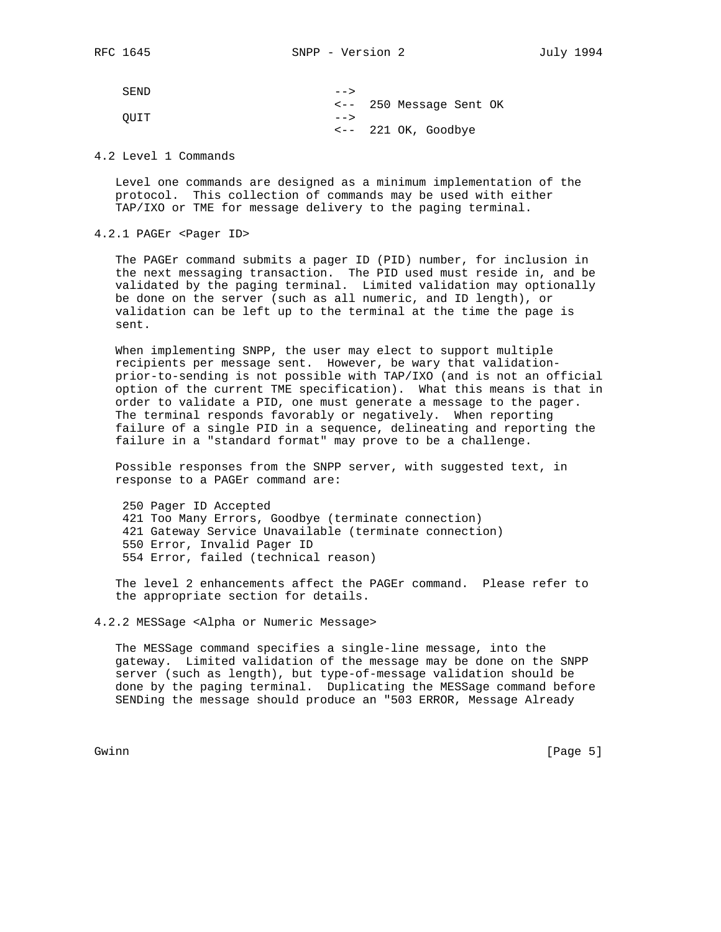SEND  $--->$  <-- 250 Message Sent OK QUIT --> <-- 221 OK, Goodbye

4.2 Level 1 Commands

 Level one commands are designed as a minimum implementation of the protocol. This collection of commands may be used with either TAP/IXO or TME for message delivery to the paging terminal.

4.2.1 PAGEr <Pager ID>

 The PAGEr command submits a pager ID (PID) number, for inclusion in the next messaging transaction. The PID used must reside in, and be validated by the paging terminal. Limited validation may optionally be done on the server (such as all numeric, and ID length), or validation can be left up to the terminal at the time the page is sent.

 When implementing SNPP, the user may elect to support multiple recipients per message sent. However, be wary that validation prior-to-sending is not possible with TAP/IXO (and is not an official option of the current TME specification). What this means is that in order to validate a PID, one must generate a message to the pager. The terminal responds favorably or negatively. When reporting failure of a single PID in a sequence, delineating and reporting the failure in a "standard format" may prove to be a challenge.

 Possible responses from the SNPP server, with suggested text, in response to a PAGEr command are:

 250 Pager ID Accepted 421 Too Many Errors, Goodbye (terminate connection) 421 Gateway Service Unavailable (terminate connection) 550 Error, Invalid Pager ID 554 Error, failed (technical reason)

 The level 2 enhancements affect the PAGEr command. Please refer to the appropriate section for details.

4.2.2 MESSage <Alpha or Numeric Message>

 The MESSage command specifies a single-line message, into the gateway. Limited validation of the message may be done on the SNPP server (such as length), but type-of-message validation should be done by the paging terminal. Duplicating the MESSage command before SENDing the message should produce an "503 ERROR, Message Already

Gwinn [Page 5]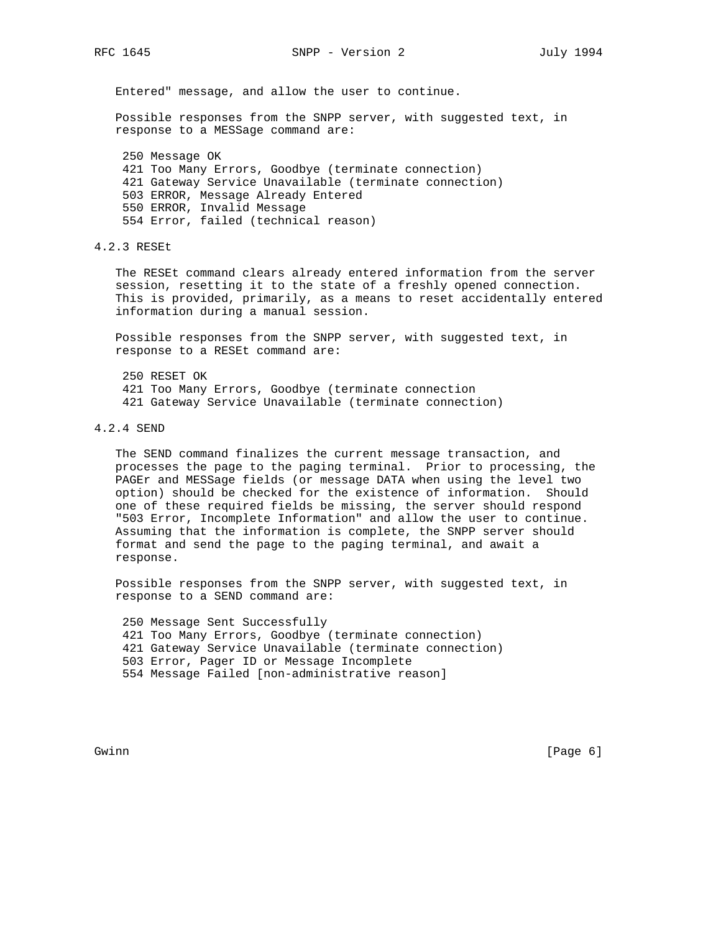Entered" message, and allow the user to continue.

 Possible responses from the SNPP server, with suggested text, in response to a MESSage command are:

 250 Message OK 421 Too Many Errors, Goodbye (terminate connection) 421 Gateway Service Unavailable (terminate connection) 503 ERROR, Message Already Entered 550 ERROR, Invalid Message 554 Error, failed (technical reason)

4.2.3 RESEt

 The RESEt command clears already entered information from the server session, resetting it to the state of a freshly opened connection. This is provided, primarily, as a means to reset accidentally entered information during a manual session.

 Possible responses from the SNPP server, with suggested text, in response to a RESEt command are:

 250 RESET OK 421 Too Many Errors, Goodbye (terminate connection 421 Gateway Service Unavailable (terminate connection)

4.2.4 SEND

 The SEND command finalizes the current message transaction, and processes the page to the paging terminal. Prior to processing, the PAGEr and MESSage fields (or message DATA when using the level two option) should be checked for the existence of information. Should one of these required fields be missing, the server should respond "503 Error, Incomplete Information" and allow the user to continue. Assuming that the information is complete, the SNPP server should format and send the page to the paging terminal, and await a response.

 Possible responses from the SNPP server, with suggested text, in response to a SEND command are:

 250 Message Sent Successfully 421 Too Many Errors, Goodbye (terminate connection) 421 Gateway Service Unavailable (terminate connection) 503 Error, Pager ID or Message Incomplete 554 Message Failed [non-administrative reason]

Gwinn [Page 6]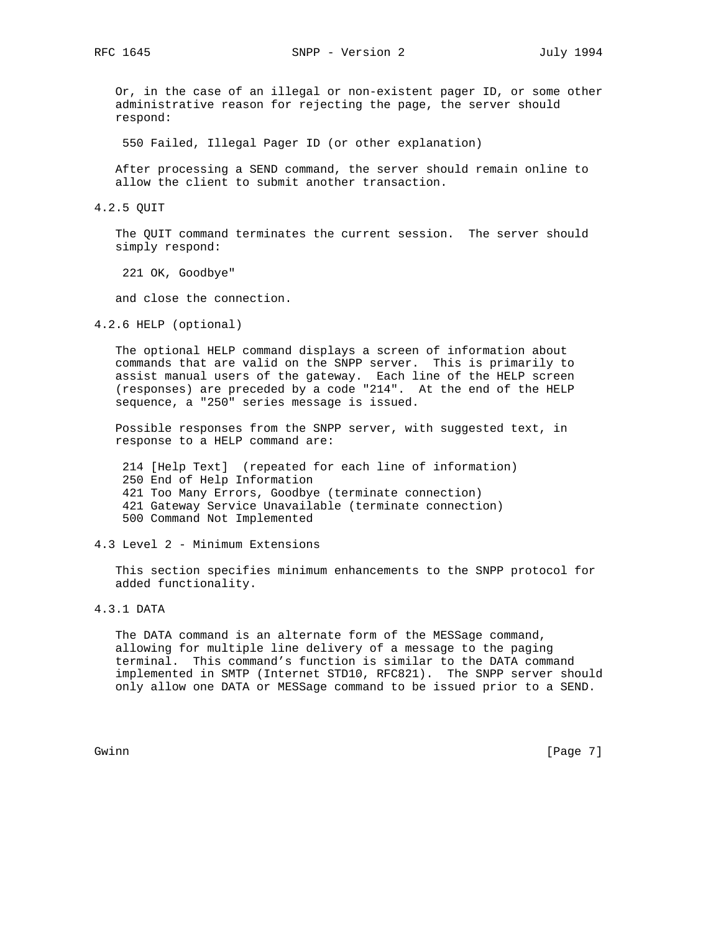Or, in the case of an illegal or non-existent pager ID, or some other administrative reason for rejecting the page, the server should respond:

550 Failed, Illegal Pager ID (or other explanation)

 After processing a SEND command, the server should remain online to allow the client to submit another transaction.

4.2.5 QUIT

 The QUIT command terminates the current session. The server should simply respond:

221 OK, Goodbye"

and close the connection.

4.2.6 HELP (optional)

 The optional HELP command displays a screen of information about commands that are valid on the SNPP server. This is primarily to assist manual users of the gateway. Each line of the HELP screen (responses) are preceded by a code "214". At the end of the HELP sequence, a "250" series message is issued.

 Possible responses from the SNPP server, with suggested text, in response to a HELP command are:

 214 [Help Text] (repeated for each line of information) 250 End of Help Information 421 Too Many Errors, Goodbye (terminate connection) 421 Gateway Service Unavailable (terminate connection) 500 Command Not Implemented

4.3 Level 2 - Minimum Extensions

 This section specifies minimum enhancements to the SNPP protocol for added functionality.

4.3.1 DATA

 The DATA command is an alternate form of the MESSage command, allowing for multiple line delivery of a message to the paging terminal. This command's function is similar to the DATA command implemented in SMTP (Internet STD10, RFC821). The SNPP server should only allow one DATA or MESSage command to be issued prior to a SEND.

Gwinn [Page 7]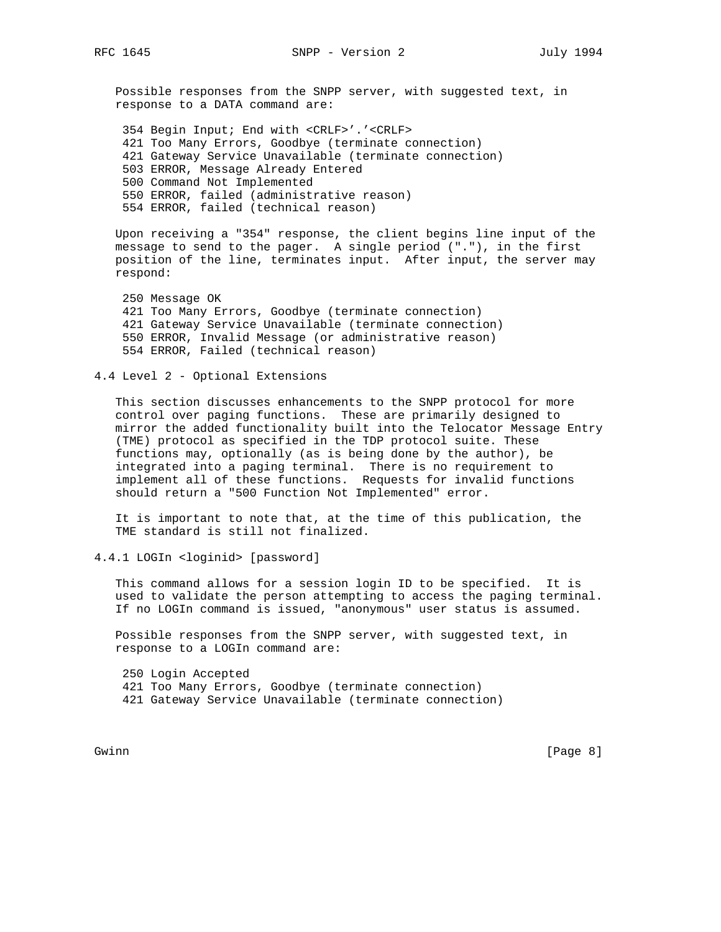Possible responses from the SNPP server, with suggested text, in response to a DATA command are:

 354 Begin Input; End with <CRLF>'.'<CRLF> 421 Too Many Errors, Goodbye (terminate connection) 421 Gateway Service Unavailable (terminate connection) 503 ERROR, Message Already Entered 500 Command Not Implemented 550 ERROR, failed (administrative reason) 554 ERROR, failed (technical reason)

 Upon receiving a "354" response, the client begins line input of the message to send to the pager. A single period ("."), in the first position of the line, terminates input. After input, the server may respond:

 250 Message OK 421 Too Many Errors, Goodbye (terminate connection) 421 Gateway Service Unavailable (terminate connection) 550 ERROR, Invalid Message (or administrative reason) 554 ERROR, Failed (technical reason)

4.4 Level 2 - Optional Extensions

 This section discusses enhancements to the SNPP protocol for more control over paging functions. These are primarily designed to mirror the added functionality built into the Telocator Message Entry (TME) protocol as specified in the TDP protocol suite. These functions may, optionally (as is being done by the author), be integrated into a paging terminal. There is no requirement to implement all of these functions. Requests for invalid functions should return a "500 Function Not Implemented" error.

 It is important to note that, at the time of this publication, the TME standard is still not finalized.

4.4.1 LOGIn <loginid> [password]

 This command allows for a session login ID to be specified. It is used to validate the person attempting to access the paging terminal. If no LOGIn command is issued, "anonymous" user status is assumed.

 Possible responses from the SNPP server, with suggested text, in response to a LOGIn command are:

 250 Login Accepted 421 Too Many Errors, Goodbye (terminate connection) 421 Gateway Service Unavailable (terminate connection)

Gwinn [Page 8]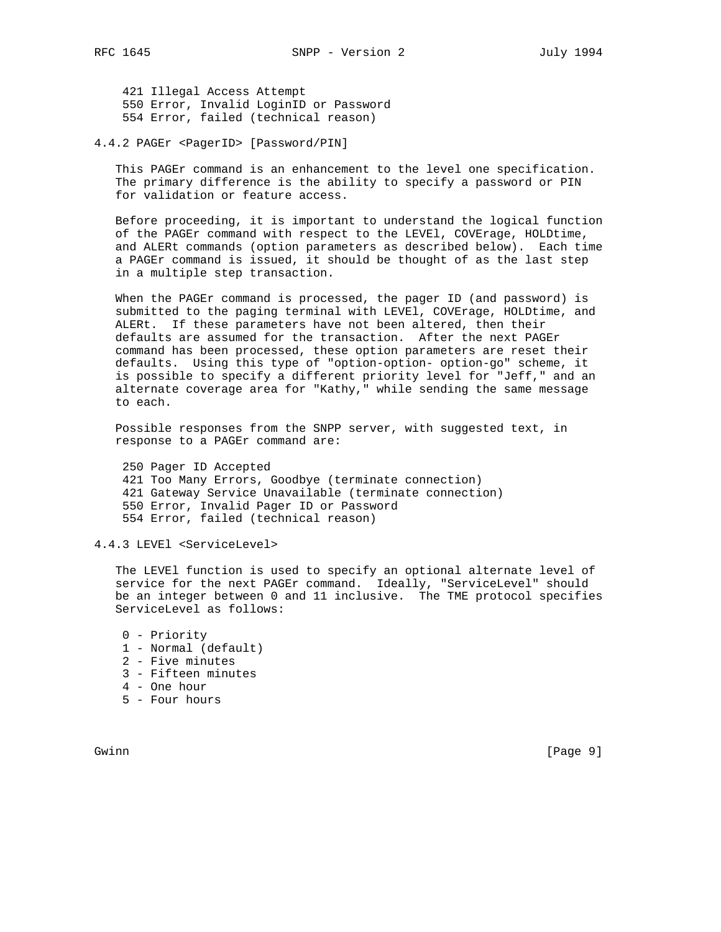421 Illegal Access Attempt 550 Error, Invalid LoginID or Password 554 Error, failed (technical reason)

4.4.2 PAGEr <PagerID> [Password/PIN]

 This PAGEr command is an enhancement to the level one specification. The primary difference is the ability to specify a password or PIN for validation or feature access.

 Before proceeding, it is important to understand the logical function of the PAGEr command with respect to the LEVEl, COVErage, HOLDtime, and ALERt commands (option parameters as described below). Each time a PAGEr command is issued, it should be thought of as the last step in a multiple step transaction.

 When the PAGEr command is processed, the pager ID (and password) is submitted to the paging terminal with LEVEl, COVErage, HOLDtime, and ALERt. If these parameters have not been altered, then their defaults are assumed for the transaction. After the next PAGEr command has been processed, these option parameters are reset their defaults. Using this type of "option-option- option-go" scheme, it is possible to specify a different priority level for "Jeff," and an alternate coverage area for "Kathy," while sending the same message to each.

 Possible responses from the SNPP server, with suggested text, in response to a PAGEr command are:

 250 Pager ID Accepted 421 Too Many Errors, Goodbye (terminate connection) 421 Gateway Service Unavailable (terminate connection) 550 Error, Invalid Pager ID or Password 554 Error, failed (technical reason)

4.4.3 LEVEl <ServiceLevel>

 The LEVEl function is used to specify an optional alternate level of service for the next PAGEr command. Ideally, "ServiceLevel" should be an integer between 0 and 11 inclusive. The TME protocol specifies ServiceLevel as follows:

- 0 Priority
- 1 Normal (default)
- 2 Five minutes
- 3 Fifteen minutes
- 4 One hour
- 5 Four hours

Gwinn [Page 9]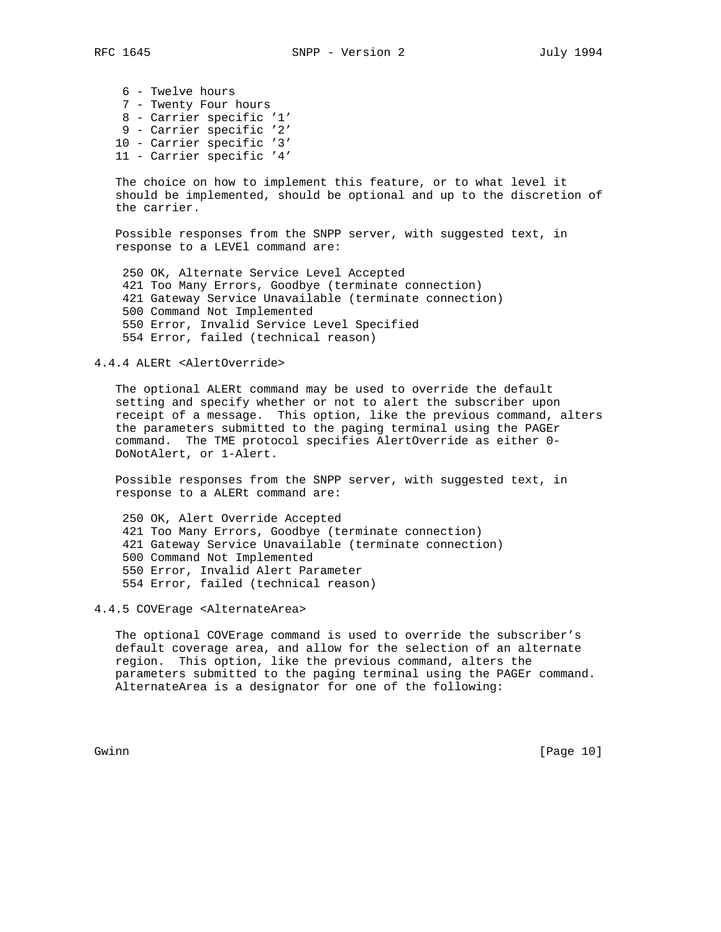6 - Twelve hours 7 - Twenty Four hours 8 - Carrier specific '1' 9 - Carrier specific '2' 10 - Carrier specific '3' 11 - Carrier specific '4'

 The choice on how to implement this feature, or to what level it should be implemented, should be optional and up to the discretion of the carrier.

 Possible responses from the SNPP server, with suggested text, in response to a LEVEl command are:

 250 OK, Alternate Service Level Accepted 421 Too Many Errors, Goodbye (terminate connection) 421 Gateway Service Unavailable (terminate connection) 500 Command Not Implemented 550 Error, Invalid Service Level Specified 554 Error, failed (technical reason)

4.4.4 ALERt <AlertOverride>

 The optional ALERt command may be used to override the default setting and specify whether or not to alert the subscriber upon receipt of a message. This option, like the previous command, alters the parameters submitted to the paging terminal using the PAGEr command. The TME protocol specifies AlertOverride as either 0- DoNotAlert, or 1-Alert.

 Possible responses from the SNPP server, with suggested text, in response to a ALERt command are:

 250 OK, Alert Override Accepted 421 Too Many Errors, Goodbye (terminate connection) 421 Gateway Service Unavailable (terminate connection) 500 Command Not Implemented 550 Error, Invalid Alert Parameter 554 Error, failed (technical reason)

4.4.5 COVErage <AlternateArea>

 The optional COVErage command is used to override the subscriber's default coverage area, and allow for the selection of an alternate region. This option, like the previous command, alters the parameters submitted to the paging terminal using the PAGEr command. AlternateArea is a designator for one of the following:

Gwinn [Page 10]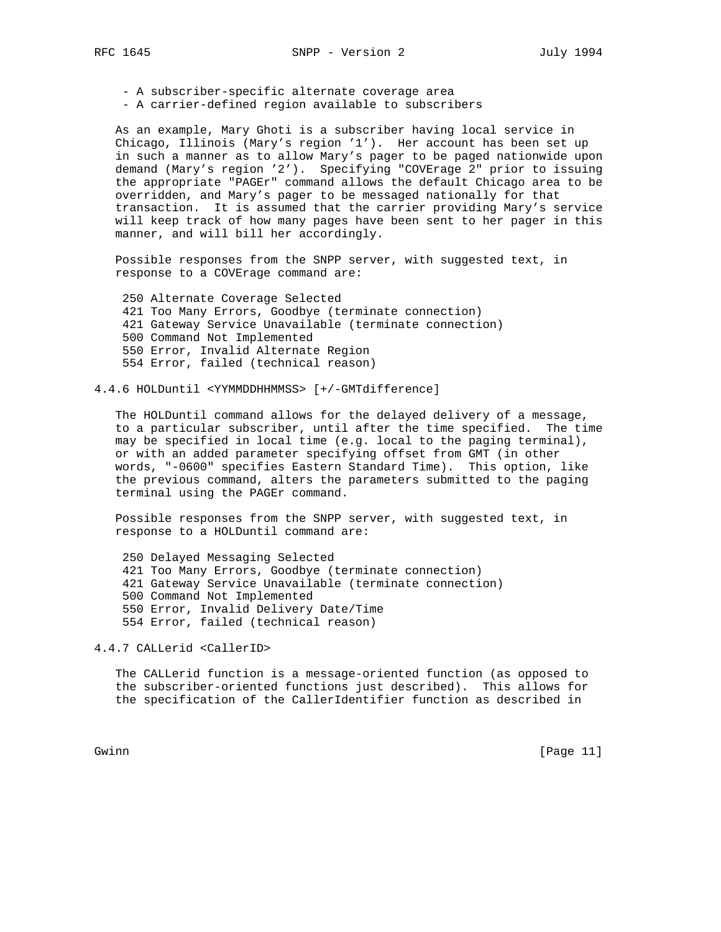- A subscriber-specific alternate coverage area

- A carrier-defined region available to subscribers

 As an example, Mary Ghoti is a subscriber having local service in Chicago, Illinois (Mary's region '1'). Her account has been set up in such a manner as to allow Mary's pager to be paged nationwide upon demand (Mary's region '2'). Specifying "COVErage 2" prior to issuing the appropriate "PAGEr" command allows the default Chicago area to be overridden, and Mary's pager to be messaged nationally for that transaction. It is assumed that the carrier providing Mary's service will keep track of how many pages have been sent to her pager in this manner, and will bill her accordingly.

 Possible responses from the SNPP server, with suggested text, in response to a COVErage command are:

 250 Alternate Coverage Selected 421 Too Many Errors, Goodbye (terminate connection) 421 Gateway Service Unavailable (terminate connection) 500 Command Not Implemented 550 Error, Invalid Alternate Region 554 Error, failed (technical reason)

4.4.6 HOLDuntil <YYMMDDHHMMSS> [+/-GMTdifference]

 The HOLDuntil command allows for the delayed delivery of a message, to a particular subscriber, until after the time specified. The time may be specified in local time (e.g. local to the paging terminal), or with an added parameter specifying offset from GMT (in other words, "-0600" specifies Eastern Standard Time). This option, like the previous command, alters the parameters submitted to the paging terminal using the PAGEr command.

 Possible responses from the SNPP server, with suggested text, in response to a HOLDuntil command are:

 250 Delayed Messaging Selected 421 Too Many Errors, Goodbye (terminate connection) 421 Gateway Service Unavailable (terminate connection) 500 Command Not Implemented 550 Error, Invalid Delivery Date/Time 554 Error, failed (technical reason)

4.4.7 CALLerid <CallerID>

 The CALLerid function is a message-oriented function (as opposed to the subscriber-oriented functions just described). This allows for the specification of the CallerIdentifier function as described in

Gwinn [Page 11]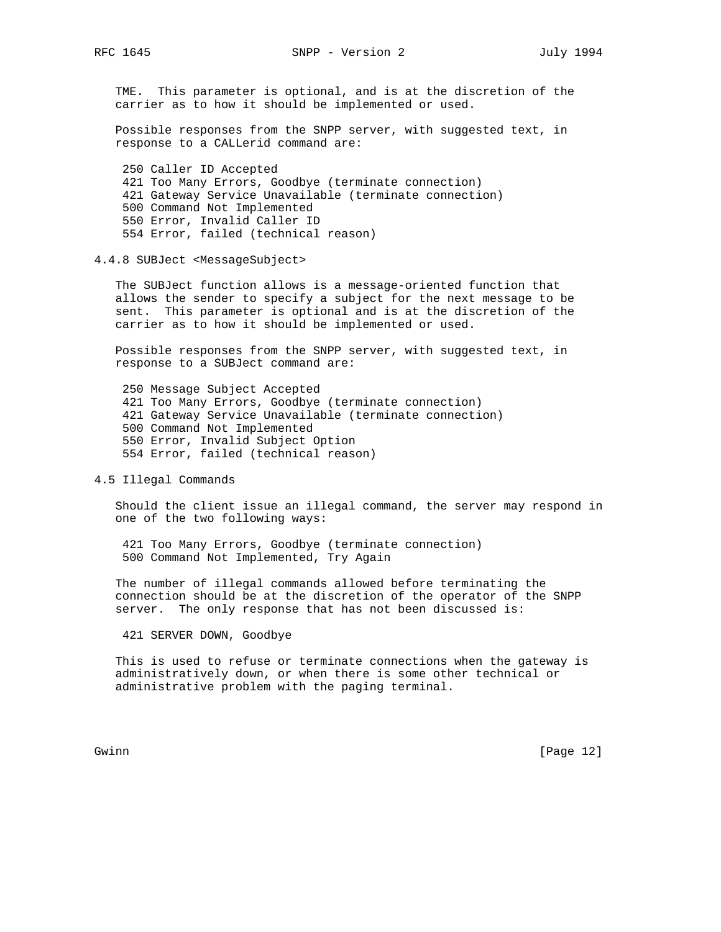TME. This parameter is optional, and is at the discretion of the carrier as to how it should be implemented or used.

 Possible responses from the SNPP server, with suggested text, in response to a CALLerid command are:

 250 Caller ID Accepted 421 Too Many Errors, Goodbye (terminate connection) 421 Gateway Service Unavailable (terminate connection) 500 Command Not Implemented 550 Error, Invalid Caller ID 554 Error, failed (technical reason)

#### 4.4.8 SUBJect <MessageSubject>

 The SUBJect function allows is a message-oriented function that allows the sender to specify a subject for the next message to be sent. This parameter is optional and is at the discretion of the carrier as to how it should be implemented or used.

 Possible responses from the SNPP server, with suggested text, in response to a SUBJect command are:

 250 Message Subject Accepted 421 Too Many Errors, Goodbye (terminate connection) 421 Gateway Service Unavailable (terminate connection) 500 Command Not Implemented 550 Error, Invalid Subject Option 554 Error, failed (technical reason)

#### 4.5 Illegal Commands

 Should the client issue an illegal command, the server may respond in one of the two following ways:

 421 Too Many Errors, Goodbye (terminate connection) 500 Command Not Implemented, Try Again

 The number of illegal commands allowed before terminating the connection should be at the discretion of the operator of the SNPP server. The only response that has not been discussed is:

421 SERVER DOWN, Goodbye

 This is used to refuse or terminate connections when the gateway is administratively down, or when there is some other technical or administrative problem with the paging terminal.

Gwinn [Page 12]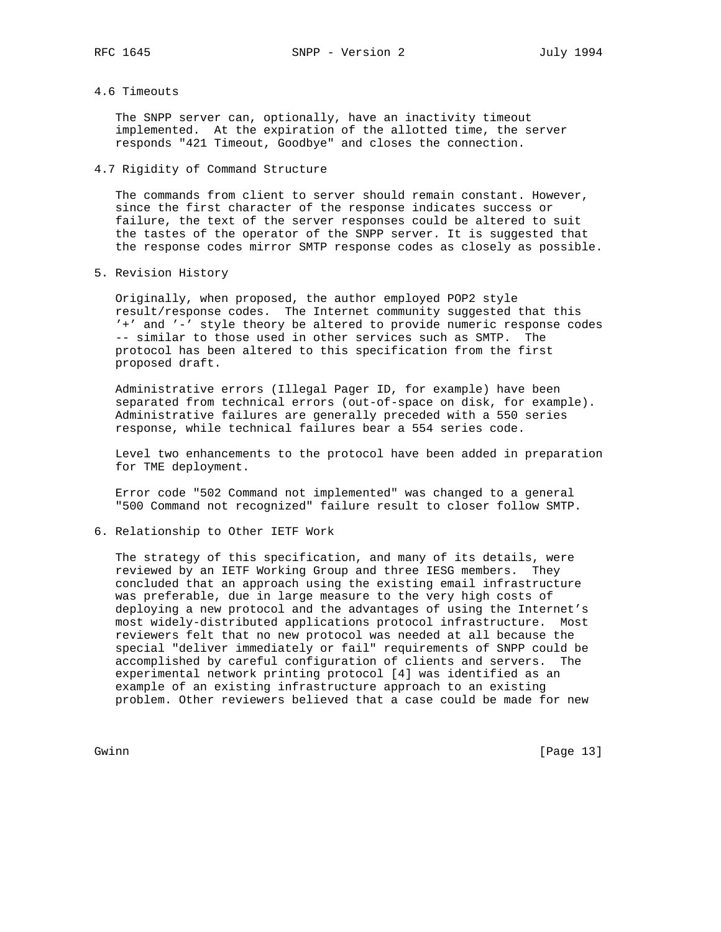# 4.6 Timeouts

 The SNPP server can, optionally, have an inactivity timeout implemented. At the expiration of the allotted time, the server responds "421 Timeout, Goodbye" and closes the connection.

4.7 Rigidity of Command Structure

 The commands from client to server should remain constant. However, since the first character of the response indicates success or failure, the text of the server responses could be altered to suit the tastes of the operator of the SNPP server. It is suggested that the response codes mirror SMTP response codes as closely as possible.

5. Revision History

 Originally, when proposed, the author employed POP2 style result/response codes. The Internet community suggested that this '+' and '-' style theory be altered to provide numeric response codes -- similar to those used in other services such as SMTP. The protocol has been altered to this specification from the first proposed draft.

 Administrative errors (Illegal Pager ID, for example) have been separated from technical errors (out-of-space on disk, for example). Administrative failures are generally preceded with a 550 series response, while technical failures bear a 554 series code.

 Level two enhancements to the protocol have been added in preparation for TME deployment.

 Error code "502 Command not implemented" was changed to a general "500 Command not recognized" failure result to closer follow SMTP.

6. Relationship to Other IETF Work

 The strategy of this specification, and many of its details, were reviewed by an IETF Working Group and three IESG members. They concluded that an approach using the existing email infrastructure was preferable, due in large measure to the very high costs of deploying a new protocol and the advantages of using the Internet's most widely-distributed applications protocol infrastructure. Most reviewers felt that no new protocol was needed at all because the special "deliver immediately or fail" requirements of SNPP could be accomplished by careful configuration of clients and servers. The experimental network printing protocol [4] was identified as an example of an existing infrastructure approach to an existing problem. Other reviewers believed that a case could be made for new

Gwinn [Page 13]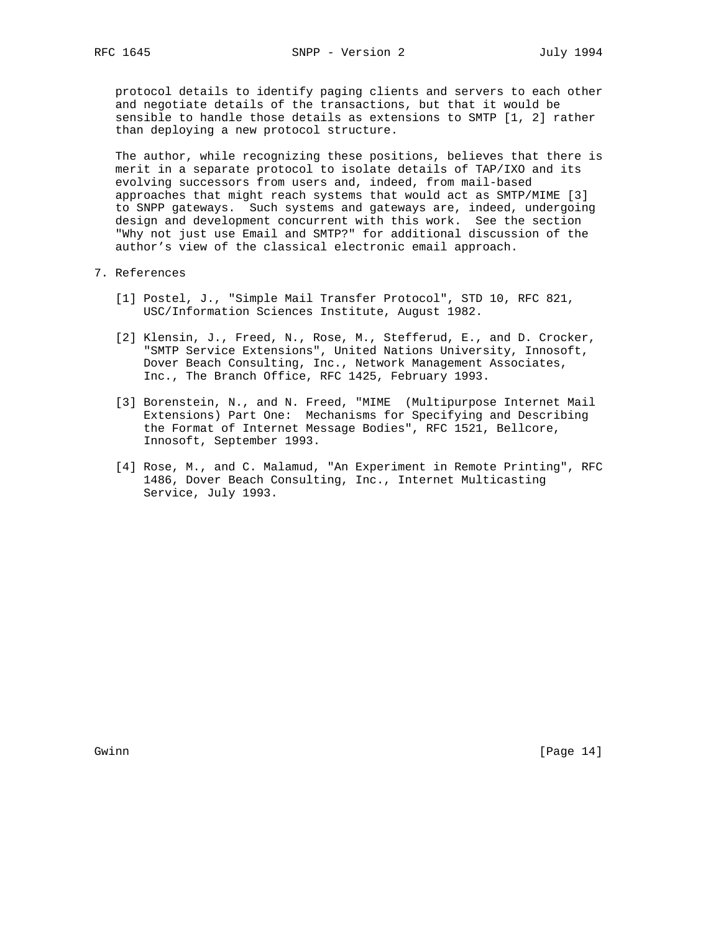protocol details to identify paging clients and servers to each other and negotiate details of the transactions, but that it would be sensible to handle those details as extensions to SMTP [1, 2] rather than deploying a new protocol structure.

 The author, while recognizing these positions, believes that there is merit in a separate protocol to isolate details of TAP/IXO and its evolving successors from users and, indeed, from mail-based approaches that might reach systems that would act as SMTP/MIME [3] to SNPP gateways. Such systems and gateways are, indeed, undergoing design and development concurrent with this work. See the section "Why not just use Email and SMTP?" for additional discussion of the author's view of the classical electronic email approach.

### 7. References

- [1] Postel, J., "Simple Mail Transfer Protocol", STD 10, RFC 821, USC/Information Sciences Institute, August 1982.
- [2] Klensin, J., Freed, N., Rose, M., Stefferud, E., and D. Crocker, "SMTP Service Extensions", United Nations University, Innosoft, Dover Beach Consulting, Inc., Network Management Associates, Inc., The Branch Office, RFC 1425, February 1993.
- [3] Borenstein, N., and N. Freed, "MIME (Multipurpose Internet Mail Extensions) Part One: Mechanisms for Specifying and Describing the Format of Internet Message Bodies", RFC 1521, Bellcore, Innosoft, September 1993.
- [4] Rose, M., and C. Malamud, "An Experiment in Remote Printing", RFC 1486, Dover Beach Consulting, Inc., Internet Multicasting Service, July 1993.